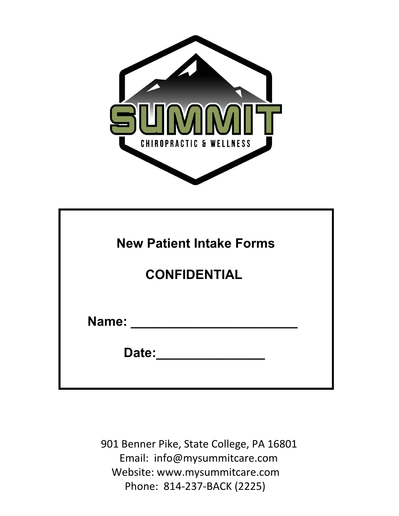

| <b>New Patient Intake Forms</b> |  |
|---------------------------------|--|
| <b>CONFIDENTIAL</b>             |  |
| Name:<br>Date:                  |  |

901 Benner Pike, State College, PA 16801 Email: info@mysummitcare.com Website: www.mysummitcare.com Phone: 814-237-BACK (2225)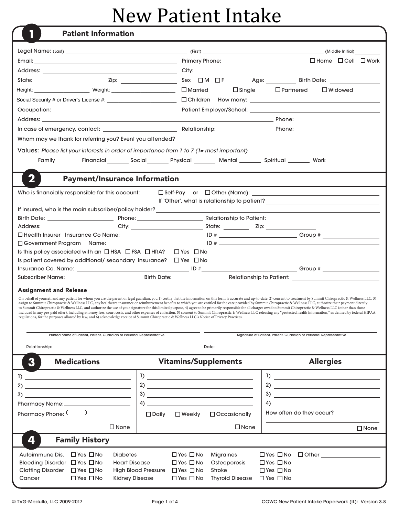## New Patient Intake

|                                                                                                                                                                                                                                                                 |                                                                                                                                                                                                                                                                                                                                                                                                                                                                                                                                                                                                                                                                                         | (Middle Initial)                                                                                                                                                                                                                                                                                                    |  |  |  |  |
|-----------------------------------------------------------------------------------------------------------------------------------------------------------------------------------------------------------------------------------------------------------------|-----------------------------------------------------------------------------------------------------------------------------------------------------------------------------------------------------------------------------------------------------------------------------------------------------------------------------------------------------------------------------------------------------------------------------------------------------------------------------------------------------------------------------------------------------------------------------------------------------------------------------------------------------------------------------------------|---------------------------------------------------------------------------------------------------------------------------------------------------------------------------------------------------------------------------------------------------------------------------------------------------------------------|--|--|--|--|
|                                                                                                                                                                                                                                                                 | Primary Phone: <u>contract and the contract of the contract of the contract of the contract of the contract of the contract of the contract of the contract of the contract of the contract of the contract of the contract of t</u>                                                                                                                                                                                                                                                                                                                                                                                                                                                    | □Home □Cell □Work                                                                                                                                                                                                                                                                                                   |  |  |  |  |
|                                                                                                                                                                                                                                                                 |                                                                                                                                                                                                                                                                                                                                                                                                                                                                                                                                                                                                                                                                                         |                                                                                                                                                                                                                                                                                                                     |  |  |  |  |
|                                                                                                                                                                                                                                                                 |                                                                                                                                                                                                                                                                                                                                                                                                                                                                                                                                                                                                                                                                                         | Age: Birth Date:                                                                                                                                                                                                                                                                                                    |  |  |  |  |
| Height: _____________________ Weight: ________________________ □ Married                                                                                                                                                                                        | $\square$ Single                                                                                                                                                                                                                                                                                                                                                                                                                                                                                                                                                                                                                                                                        | $\Box$ Partnered<br>$\Box$ Widowed                                                                                                                                                                                                                                                                                  |  |  |  |  |
|                                                                                                                                                                                                                                                                 |                                                                                                                                                                                                                                                                                                                                                                                                                                                                                                                                                                                                                                                                                         |                                                                                                                                                                                                                                                                                                                     |  |  |  |  |
|                                                                                                                                                                                                                                                                 |                                                                                                                                                                                                                                                                                                                                                                                                                                                                                                                                                                                                                                                                                         |                                                                                                                                                                                                                                                                                                                     |  |  |  |  |
|                                                                                                                                                                                                                                                                 |                                                                                                                                                                                                                                                                                                                                                                                                                                                                                                                                                                                                                                                                                         |                                                                                                                                                                                                                                                                                                                     |  |  |  |  |
|                                                                                                                                                                                                                                                                 |                                                                                                                                                                                                                                                                                                                                                                                                                                                                                                                                                                                                                                                                                         |                                                                                                                                                                                                                                                                                                                     |  |  |  |  |
|                                                                                                                                                                                                                                                                 |                                                                                                                                                                                                                                                                                                                                                                                                                                                                                                                                                                                                                                                                                         |                                                                                                                                                                                                                                                                                                                     |  |  |  |  |
| Values: Please list your interests in order of importance from 1 to 7 (1= most important)                                                                                                                                                                       |                                                                                                                                                                                                                                                                                                                                                                                                                                                                                                                                                                                                                                                                                         |                                                                                                                                                                                                                                                                                                                     |  |  |  |  |
|                                                                                                                                                                                                                                                                 | Family ________ Financial ________ Social ________ Physical _________ Mental ________ Spiritual ________ Work ______                                                                                                                                                                                                                                                                                                                                                                                                                                                                                                                                                                    |                                                                                                                                                                                                                                                                                                                     |  |  |  |  |
|                                                                                                                                                                                                                                                                 |                                                                                                                                                                                                                                                                                                                                                                                                                                                                                                                                                                                                                                                                                         |                                                                                                                                                                                                                                                                                                                     |  |  |  |  |
| 2<br><b>Payment/Insurance Information</b>                                                                                                                                                                                                                       |                                                                                                                                                                                                                                                                                                                                                                                                                                                                                                                                                                                                                                                                                         |                                                                                                                                                                                                                                                                                                                     |  |  |  |  |
| Who is financially responsible for this account:                                                                                                                                                                                                                |                                                                                                                                                                                                                                                                                                                                                                                                                                                                                                                                                                                                                                                                                         |                                                                                                                                                                                                                                                                                                                     |  |  |  |  |
|                                                                                                                                                                                                                                                                 |                                                                                                                                                                                                                                                                                                                                                                                                                                                                                                                                                                                                                                                                                         |                                                                                                                                                                                                                                                                                                                     |  |  |  |  |
|                                                                                                                                                                                                                                                                 | If insured, who is the main subscriber/policy holder?<br><u> and the main subscriber/policy holder?</u>                                                                                                                                                                                                                                                                                                                                                                                                                                                                                                                                                                                 |                                                                                                                                                                                                                                                                                                                     |  |  |  |  |
|                                                                                                                                                                                                                                                                 |                                                                                                                                                                                                                                                                                                                                                                                                                                                                                                                                                                                                                                                                                         |                                                                                                                                                                                                                                                                                                                     |  |  |  |  |
|                                                                                                                                                                                                                                                                 |                                                                                                                                                                                                                                                                                                                                                                                                                                                                                                                                                                                                                                                                                         |                                                                                                                                                                                                                                                                                                                     |  |  |  |  |
| $\square$ Government Program                                                                                                                                                                                                                                    |                                                                                                                                                                                                                                                                                                                                                                                                                                                                                                                                                                                                                                                                                         |                                                                                                                                                                                                                                                                                                                     |  |  |  |  |
| Is this policy associated with an $\Box$ HSA $\Box$ FSA $\Box$ HRA?                                                                                                                                                                                             | $\Box$ Yes $\Box$ No                                                                                                                                                                                                                                                                                                                                                                                                                                                                                                                                                                                                                                                                    |                                                                                                                                                                                                                                                                                                                     |  |  |  |  |
| Is patient covered by additional/ secondary insurance? $\Box$ Yes $\Box$ No                                                                                                                                                                                     |                                                                                                                                                                                                                                                                                                                                                                                                                                                                                                                                                                                                                                                                                         |                                                                                                                                                                                                                                                                                                                     |  |  |  |  |
|                                                                                                                                                                                                                                                                 |                                                                                                                                                                                                                                                                                                                                                                                                                                                                                                                                                                                                                                                                                         |                                                                                                                                                                                                                                                                                                                     |  |  |  |  |
|                                                                                                                                                                                                                                                                 |                                                                                                                                                                                                                                                                                                                                                                                                                                                                                                                                                                                                                                                                                         |                                                                                                                                                                                                                                                                                                                     |  |  |  |  |
| <b>Assignment and Release</b><br>On behalf of yourself and any patient for whom you are the parent or legal guardian, you 1) certify that the information on this form is accurate and up-to-date, 2) consent to treatment by Summit Chiropractic & Wellness LL |                                                                                                                                                                                                                                                                                                                                                                                                                                                                                                                                                                                                                                                                                         |                                                                                                                                                                                                                                                                                                                     |  |  |  |  |
|                                                                                                                                                                                                                                                                 |                                                                                                                                                                                                                                                                                                                                                                                                                                                                                                                                                                                                                                                                                         |                                                                                                                                                                                                                                                                                                                     |  |  |  |  |
| regulations, for the purposes allowed by law, and 6) acknowledge receipt of Summit Chiropractic & Wellness LLC's Notice of Privacy Practices.                                                                                                                   | assign to Summit Chiropractic & Wellness LLC, any healthcare insurance or reimbursement benefits to which you are entitled for the care provided by Summit Chiropractic & Wellness LLC, authorize their payment directly<br>to Summit Chiropractic & Wellness LLC, and authorize the use of your signature for this limited purpose, 4) agree to be primarily responsible for all charges owed to Summit Chiropractic & Wellness LLC (other than those<br>included in any pre-paid offer), including attorney fees, court costs, and other expenses of collection, 5) consent to Summit Chiropractic & Wellness LLC releasing any "protected health information," as defined by federal |                                                                                                                                                                                                                                                                                                                     |  |  |  |  |
|                                                                                                                                                                                                                                                                 |                                                                                                                                                                                                                                                                                                                                                                                                                                                                                                                                                                                                                                                                                         |                                                                                                                                                                                                                                                                                                                     |  |  |  |  |
| Printed name of Patient, Parent, Guardian or Personal Representative                                                                                                                                                                                            |                                                                                                                                                                                                                                                                                                                                                                                                                                                                                                                                                                                                                                                                                         | Signature of Patient, Parent, Guardian or Personal Representative                                                                                                                                                                                                                                                   |  |  |  |  |
|                                                                                                                                                                                                                                                                 |                                                                                                                                                                                                                                                                                                                                                                                                                                                                                                                                                                                                                                                                                         | Date: the contract of the contract of the contract of the contract of the contract of the contract of the contract of the contract of the contract of the contract of the contract of the contract of the contract of the cont                                                                                      |  |  |  |  |
| 3<br><b>Medications</b>                                                                                                                                                                                                                                         | <b>Vitamins/Supplements</b>                                                                                                                                                                                                                                                                                                                                                                                                                                                                                                                                                                                                                                                             | <b>Allergies</b>                                                                                                                                                                                                                                                                                                    |  |  |  |  |
|                                                                                                                                                                                                                                                                 |                                                                                                                                                                                                                                                                                                                                                                                                                                                                                                                                                                                                                                                                                         |                                                                                                                                                                                                                                                                                                                     |  |  |  |  |
| $\frac{1}{2}$                                                                                                                                                                                                                                                   | $\frac{1}{2}$ $\frac{1}{2}$ $\frac{1}{2}$ $\frac{1}{2}$ $\frac{1}{2}$ $\frac{1}{2}$ $\frac{1}{2}$ $\frac{1}{2}$ $\frac{1}{2}$ $\frac{1}{2}$ $\frac{1}{2}$ $\frac{1}{2}$ $\frac{1}{2}$ $\frac{1}{2}$ $\frac{1}{2}$ $\frac{1}{2}$ $\frac{1}{2}$ $\frac{1}{2}$ $\frac{1}{2}$ $\frac{1}{2}$ $\frac{1}{2}$ $\frac{1}{2}$                                                                                                                                                                                                                                                                                                                                                                     | $\frac{1}{2}$ $\frac{1}{2}$ $\frac{1}{2}$ $\frac{1}{2}$ $\frac{1}{2}$ $\frac{1}{2}$ $\frac{1}{2}$ $\frac{1}{2}$ $\frac{1}{2}$ $\frac{1}{2}$ $\frac{1}{2}$ $\frac{1}{2}$ $\frac{1}{2}$ $\frac{1}{2}$ $\frac{1}{2}$ $\frac{1}{2}$ $\frac{1}{2}$ $\frac{1}{2}$ $\frac{1}{2}$ $\frac{1}{2}$ $\frac{1}{2}$ $\frac{1}{2}$ |  |  |  |  |
| 3)                                                                                                                                                                                                                                                              |                                                                                                                                                                                                                                                                                                                                                                                                                                                                                                                                                                                                                                                                                         | $\overline{2}$ $\overline{2}$                                                                                                                                                                                                                                                                                       |  |  |  |  |
|                                                                                                                                                                                                                                                                 | 4)                                                                                                                                                                                                                                                                                                                                                                                                                                                                                                                                                                                                                                                                                      | $\left(4\right)$                                                                                                                                                                                                                                                                                                    |  |  |  |  |
| Pharmacy Phone: ( )                                                                                                                                                                                                                                             | $\square$ Daily<br>$\square$ Weekly<br>$\Box$ Occasionally                                                                                                                                                                                                                                                                                                                                                                                                                                                                                                                                                                                                                              | How often do they occur?                                                                                                                                                                                                                                                                                            |  |  |  |  |
| $\square$ None                                                                                                                                                                                                                                                  | $\square$ None                                                                                                                                                                                                                                                                                                                                                                                                                                                                                                                                                                                                                                                                          | $\Box$ None                                                                                                                                                                                                                                                                                                         |  |  |  |  |
| <b>Family History</b><br>4                                                                                                                                                                                                                                      |                                                                                                                                                                                                                                                                                                                                                                                                                                                                                                                                                                                                                                                                                         |                                                                                                                                                                                                                                                                                                                     |  |  |  |  |
| $\Box$ Yes $\Box$ No<br>Autoimmune Dis.<br><b>Diabetes</b>                                                                                                                                                                                                      | $\Box$ Yes $\Box$ No<br><b>Migraines</b>                                                                                                                                                                                                                                                                                                                                                                                                                                                                                                                                                                                                                                                | $\Box$ Yes $\Box$ No<br>$\Box$ Other $\Box$                                                                                                                                                                                                                                                                         |  |  |  |  |
| Bleeding Disorder □ Yes □ No<br><b>Heart Disease</b>                                                                                                                                                                                                            | $\Box$ Yes $\Box$ No<br>Osteoporosis                                                                                                                                                                                                                                                                                                                                                                                                                                                                                                                                                                                                                                                    | $\Box$ Yes $\Box$ No                                                                                                                                                                                                                                                                                                |  |  |  |  |
| Clotting Disorder □ Yes □ No<br>$\Box$ Yes $\Box$ No<br><b>Kidney Disease</b><br>Cancer                                                                                                                                                                         | <b>High Blood Pressure</b><br>$\Box$ Yes $\Box$ No<br><b>Stroke</b><br>$\Box$ Yes $\Box$ No<br>Thyroid Disease □ Yes □ No                                                                                                                                                                                                                                                                                                                                                                                                                                                                                                                                                               | $\Box$ Yes $\Box$ No                                                                                                                                                                                                                                                                                                |  |  |  |  |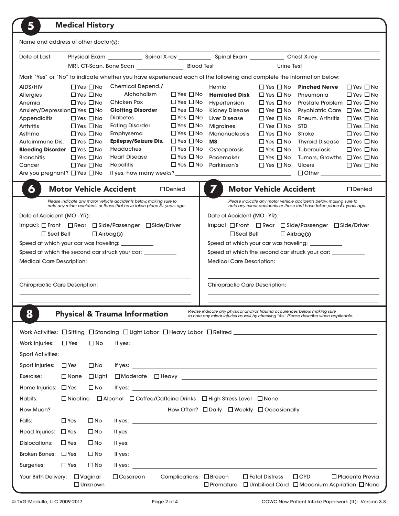| 5                                                                                                                                                                                                                                                                            | <b>Medical History</b>                                                                                                                                                                       |                                                                                                                                                                                                                                                                      |                                                                                                                                                                                                                                              |                                                                                                                                                                                                |                                                                                                                                                                                                                                                                      |                                                                                                                                                                                                                                                         |                                                                                                                                                                                                                      |
|------------------------------------------------------------------------------------------------------------------------------------------------------------------------------------------------------------------------------------------------------------------------------|----------------------------------------------------------------------------------------------------------------------------------------------------------------------------------------------|----------------------------------------------------------------------------------------------------------------------------------------------------------------------------------------------------------------------------------------------------------------------|----------------------------------------------------------------------------------------------------------------------------------------------------------------------------------------------------------------------------------------------|------------------------------------------------------------------------------------------------------------------------------------------------------------------------------------------------|----------------------------------------------------------------------------------------------------------------------------------------------------------------------------------------------------------------------------------------------------------------------|---------------------------------------------------------------------------------------------------------------------------------------------------------------------------------------------------------------------------------------------------------|----------------------------------------------------------------------------------------------------------------------------------------------------------------------------------------------------------------------|
| Name and address of other doctor(s):                                                                                                                                                                                                                                         |                                                                                                                                                                                              |                                                                                                                                                                                                                                                                      |                                                                                                                                                                                                                                              |                                                                                                                                                                                                |                                                                                                                                                                                                                                                                      |                                                                                                                                                                                                                                                         |                                                                                                                                                                                                                      |
| Date of Last:                                                                                                                                                                                                                                                                |                                                                                                                                                                                              |                                                                                                                                                                                                                                                                      |                                                                                                                                                                                                                                              |                                                                                                                                                                                                |                                                                                                                                                                                                                                                                      |                                                                                                                                                                                                                                                         |                                                                                                                                                                                                                      |
|                                                                                                                                                                                                                                                                              |                                                                                                                                                                                              |                                                                                                                                                                                                                                                                      |                                                                                                                                                                                                                                              |                                                                                                                                                                                                |                                                                                                                                                                                                                                                                      |                                                                                                                                                                                                                                                         |                                                                                                                                                                                                                      |
|                                                                                                                                                                                                                                                                              |                                                                                                                                                                                              | Mark "Yes" or "No" to indicate whether you have experienced each of the following and complete the information below:                                                                                                                                                |                                                                                                                                                                                                                                              |                                                                                                                                                                                                |                                                                                                                                                                                                                                                                      |                                                                                                                                                                                                                                                         |                                                                                                                                                                                                                      |
| AIDS/HIV<br>Allergies<br>Anemia<br>Anxiety/Depression□ Yes □ No<br><b>Appendicitis</b><br><b>Arthritis</b><br>Asthma<br>Autoimmune Dis. □ Yes □ No<br><b>Bleeding Disorder</b> $\Box$ Yes $\Box$ No<br><b>Bronchitis</b><br>Cancer<br>Are you pregnant? $\Box$ Yes $\Box$ No | $\Box$ Yes $\Box$ No<br>$\Box$ Yes $\Box$ No<br>$\Box$ Yes $\Box$ No<br>$\Box$ Yes $\Box$ No<br>$\Box$ Yes $\Box$ No<br>$\Box$ Yes $\Box$ No<br>$\Box$ Yes $\Box$ No<br>$\Box$ Yes $\Box$ No | Chemical Depend./<br>Alchoholism<br>Chicken Pox<br><b>Clotting Disorder</b><br><b>Diabetes</b><br><b>Eating Disorder</b><br>Emphysema<br><b>Epilepsy/Seizure Dis.</b><br><b>Headaches</b><br><b>Heart Disease</b><br>Hepatitis<br>If yes, how many weeks?            | $\Box$ Yes $\Box$ No<br>$\Box$ Yes $\Box$ No<br>$\Box$ Yes $\Box$ No<br>$\Box$ Yes $\Box$ No<br>$\Box$ Yes $\Box$ No<br>$\Box$ Yes $\Box$ No<br>$\Box$ Yes $\Box$ No<br>$\Box$ Yes $\Box$ No<br>$\Box$ Yes $\Box$ No<br>$\Box$ Yes $\Box$ No | Hernia<br><b>Herniated Disk</b><br>Hypertension<br><b>Kidney Disease</b><br>Liver Disease<br><b>Migraines</b><br><b>Mononucleosis</b><br><b>MS</b><br>Osteoporosis<br>Pacemaker<br>Parkinson's | $\Box$ Yes $\Box$ No<br>$\Box$ Yes $\Box$ No<br>$\Box$ Yes $\Box$ No<br>$\Box$ Yes $\Box$ No<br>$\Box$ Yes $\Box$ No<br>$\Box$ Yes $\Box$ No<br>$\Box$ Yes $\Box$ No<br>$\Box$ Yes $\Box$ No<br>$\Box$ Yes $\Box$ No<br>$\Box$ Yes $\Box$ No<br>$\Box$ Yes $\Box$ No | <b>Pinched Nerve</b><br>Pneumonia<br>Prostate Problem □ Yes □ No<br><b>Psychiatric Care</b><br>Rheum. Arthritis<br><b>STD</b><br>Stroke<br><b>Thyroid Disease</b><br><b>Tuberculosis</b><br>Tumors, Growths □ Yes □ No<br><b>Ulcers</b><br>$\Box$ Other | $\Box$ Yes $\Box$ No<br>$\Box$ Yes $\Box$ No<br>$\Box$ Yes $\Box$ No<br>$\Box$ Yes $\Box$ No<br>$\Box$ Yes $\Box$ No<br>$\Box$ Yes $\Box$ No<br>$\Box$ Yes $\Box$ No<br>$\Box$ Yes $\Box$ No<br>$\Box$ Yes $\Box$ No |
| 6                                                                                                                                                                                                                                                                            | <b>Motor Vehicle Accident</b>                                                                                                                                                                |                                                                                                                                                                                                                                                                      | $\square$ Denied                                                                                                                                                                                                                             | 7                                                                                                                                                                                              | <b>Motor Vehicle Accident</b>                                                                                                                                                                                                                                        |                                                                                                                                                                                                                                                         | □ Denied                                                                                                                                                                                                             |
|                                                                                                                                                                                                                                                                              |                                                                                                                                                                                              | Please indicate any motor vehicle accidents below, making sure to<br>note any minor accidents or those that have taken place 5+ years ago.                                                                                                                           |                                                                                                                                                                                                                                              |                                                                                                                                                                                                |                                                                                                                                                                                                                                                                      | Please indicate any motor vehicle accidents below, making sure to<br>note any minor accidents or those that have taken place 5+ years ago.                                                                                                              |                                                                                                                                                                                                                      |
| Date of Accident (MO - YR): $\frac{1}{\sqrt{1-\frac{1}{2}}\sqrt{1-\frac{1}{2}}\sqrt{1-\frac{1}{2}}\sqrt{1-\frac{1}{2}}\sqrt{1-\frac{1}{2}}$                                                                                                                                  |                                                                                                                                                                                              |                                                                                                                                                                                                                                                                      |                                                                                                                                                                                                                                              | Date of Accident (MO - YR): $\frac{1}{\sqrt{1-\frac{1}{2}}\sqrt{1-\frac{1}{2}}\sqrt{1-\frac{1}{2}}\sqrt{1-\frac{1}{2}}\sqrt{1-\frac{1}{2}}$                                                    |                                                                                                                                                                                                                                                                      |                                                                                                                                                                                                                                                         |                                                                                                                                                                                                                      |
|                                                                                                                                                                                                                                                                              |                                                                                                                                                                                              | Impact: □ Front □ Rear □ Side/Passenger □ Side/Driver                                                                                                                                                                                                                |                                                                                                                                                                                                                                              |                                                                                                                                                                                                |                                                                                                                                                                                                                                                                      | Impact: □ Front □ Rear □ Side/Passenger □ Side/Driver                                                                                                                                                                                                   |                                                                                                                                                                                                                      |
| $\Box$ Seat Belt                                                                                                                                                                                                                                                             | $\Box$ Airbag(s)                                                                                                                                                                             |                                                                                                                                                                                                                                                                      |                                                                                                                                                                                                                                              | $\Box$ Seat Belt                                                                                                                                                                               | $\Box$ Airbag(s)                                                                                                                                                                                                                                                     |                                                                                                                                                                                                                                                         |                                                                                                                                                                                                                      |
| Speed at which your car was traveling: __________                                                                                                                                                                                                                            |                                                                                                                                                                                              |                                                                                                                                                                                                                                                                      |                                                                                                                                                                                                                                              | Speed at which your car was traveling: __________                                                                                                                                              |                                                                                                                                                                                                                                                                      |                                                                                                                                                                                                                                                         |                                                                                                                                                                                                                      |
| Speed at which the second car struck your car: ___________<br><b>Medical Care Description:</b>                                                                                                                                                                               |                                                                                                                                                                                              |                                                                                                                                                                                                                                                                      | Speed at which the second car struck your car: ____________<br><b>Medical Care Description:</b>                                                                                                                                              |                                                                                                                                                                                                |                                                                                                                                                                                                                                                                      |                                                                                                                                                                                                                                                         |                                                                                                                                                                                                                      |
|                                                                                                                                                                                                                                                                              |                                                                                                                                                                                              |                                                                                                                                                                                                                                                                      |                                                                                                                                                                                                                                              |                                                                                                                                                                                                |                                                                                                                                                                                                                                                                      |                                                                                                                                                                                                                                                         |                                                                                                                                                                                                                      |
|                                                                                                                                                                                                                                                                              |                                                                                                                                                                                              |                                                                                                                                                                                                                                                                      |                                                                                                                                                                                                                                              |                                                                                                                                                                                                |                                                                                                                                                                                                                                                                      |                                                                                                                                                                                                                                                         |                                                                                                                                                                                                                      |
| <b>Chiropractic Care Description:</b>                                                                                                                                                                                                                                        |                                                                                                                                                                                              |                                                                                                                                                                                                                                                                      |                                                                                                                                                                                                                                              | <b>Chiropractic Care Description:</b>                                                                                                                                                          |                                                                                                                                                                                                                                                                      |                                                                                                                                                                                                                                                         |                                                                                                                                                                                                                      |
|                                                                                                                                                                                                                                                                              |                                                                                                                                                                                              |                                                                                                                                                                                                                                                                      |                                                                                                                                                                                                                                              |                                                                                                                                                                                                |                                                                                                                                                                                                                                                                      |                                                                                                                                                                                                                                                         |                                                                                                                                                                                                                      |
| ŏ                                                                                                                                                                                                                                                                            |                                                                                                                                                                                              | <b>Physical &amp; Trauma Information</b>                                                                                                                                                                                                                             |                                                                                                                                                                                                                                              | Please indicate any physical and/or trauma occurences below, making sure<br>to note any minor injuries as well by checking 'Yes'. Please describe when applicable.                             |                                                                                                                                                                                                                                                                      |                                                                                                                                                                                                                                                         |                                                                                                                                                                                                                      |
|                                                                                                                                                                                                                                                                              |                                                                                                                                                                                              |                                                                                                                                                                                                                                                                      |                                                                                                                                                                                                                                              |                                                                                                                                                                                                |                                                                                                                                                                                                                                                                      |                                                                                                                                                                                                                                                         |                                                                                                                                                                                                                      |
|                                                                                                                                                                                                                                                                              |                                                                                                                                                                                              |                                                                                                                                                                                                                                                                      |                                                                                                                                                                                                                                              |                                                                                                                                                                                                |                                                                                                                                                                                                                                                                      |                                                                                                                                                                                                                                                         |                                                                                                                                                                                                                      |
| Work Injuries:                                                                                                                                                                                                                                                               | $\Box$ Yes<br>$\square$ No                                                                                                                                                                   | If yes: $\overline{\phantom{a}}$                                                                                                                                                                                                                                     |                                                                                                                                                                                                                                              |                                                                                                                                                                                                |                                                                                                                                                                                                                                                                      |                                                                                                                                                                                                                                                         |                                                                                                                                                                                                                      |
|                                                                                                                                                                                                                                                                              |                                                                                                                                                                                              |                                                                                                                                                                                                                                                                      |                                                                                                                                                                                                                                              |                                                                                                                                                                                                |                                                                                                                                                                                                                                                                      |                                                                                                                                                                                                                                                         |                                                                                                                                                                                                                      |
| Sport Injuries: $\Box$ Yes                                                                                                                                                                                                                                                   | $\square$ No                                                                                                                                                                                 |                                                                                                                                                                                                                                                                      |                                                                                                                                                                                                                                              |                                                                                                                                                                                                |                                                                                                                                                                                                                                                                      |                                                                                                                                                                                                                                                         |                                                                                                                                                                                                                      |
| Exercise:                                                                                                                                                                                                                                                                    | $\square$ None<br>$\Box$ Light                                                                                                                                                               |                                                                                                                                                                                                                                                                      |                                                                                                                                                                                                                                              |                                                                                                                                                                                                |                                                                                                                                                                                                                                                                      |                                                                                                                                                                                                                                                         |                                                                                                                                                                                                                      |
| Home Injuries: $\Box$ Yes                                                                                                                                                                                                                                                    | $\square$ No                                                                                                                                                                                 | If yes: $\frac{1}{2}$ is a set of $\frac{1}{2}$ is a set of $\frac{1}{2}$ is a set of $\frac{1}{2}$ is a set of $\frac{1}{2}$ is a set of $\frac{1}{2}$ is a set of $\frac{1}{2}$ is a set of $\frac{1}{2}$ is a set of $\frac{1}{2}$ is a set of $\frac{1}{2}$ is a |                                                                                                                                                                                                                                              |                                                                                                                                                                                                |                                                                                                                                                                                                                                                                      |                                                                                                                                                                                                                                                         |                                                                                                                                                                                                                      |
| □ Alcohol □ Coffee/Caffeine Drinks □ High Stress Level □ None<br>Habits:<br>$\Box$ Nicotine                                                                                                                                                                                  |                                                                                                                                                                                              |                                                                                                                                                                                                                                                                      |                                                                                                                                                                                                                                              |                                                                                                                                                                                                |                                                                                                                                                                                                                                                                      |                                                                                                                                                                                                                                                         |                                                                                                                                                                                                                      |
|                                                                                                                                                                                                                                                                              |                                                                                                                                                                                              |                                                                                                                                                                                                                                                                      |                                                                                                                                                                                                                                              | How Often? □ Daily □ Weekly □ Occasionally                                                                                                                                                     |                                                                                                                                                                                                                                                                      |                                                                                                                                                                                                                                                         |                                                                                                                                                                                                                      |
| Falls:                                                                                                                                                                                                                                                                       | $\Box$ Yes<br>$\square$ No                                                                                                                                                                   | If yes: $\overline{\phantom{a}}$                                                                                                                                                                                                                                     |                                                                                                                                                                                                                                              |                                                                                                                                                                                                |                                                                                                                                                                                                                                                                      |                                                                                                                                                                                                                                                         |                                                                                                                                                                                                                      |
| Head Injuries: $\Box$ Yes                                                                                                                                                                                                                                                    | $\square$ No                                                                                                                                                                                 | If yes: $\overline{\phantom{a}}$                                                                                                                                                                                                                                     |                                                                                                                                                                                                                                              |                                                                                                                                                                                                |                                                                                                                                                                                                                                                                      |                                                                                                                                                                                                                                                         |                                                                                                                                                                                                                      |
| Dislocations:                                                                                                                                                                                                                                                                | $\Box$ Yes<br>$\square$ No                                                                                                                                                                   | If yes: $\frac{1}{2}$ if yes:                                                                                                                                                                                                                                        |                                                                                                                                                                                                                                              |                                                                                                                                                                                                |                                                                                                                                                                                                                                                                      |                                                                                                                                                                                                                                                         |                                                                                                                                                                                                                      |
| Broken Bones: $\Box$ Yes                                                                                                                                                                                                                                                     | $\square$ No                                                                                                                                                                                 | If yes: $\frac{1}{2}$ if yes:                                                                                                                                                                                                                                        |                                                                                                                                                                                                                                              |                                                                                                                                                                                                |                                                                                                                                                                                                                                                                      |                                                                                                                                                                                                                                                         |                                                                                                                                                                                                                      |
| Surgeries:                                                                                                                                                                                                                                                                   | $\Box$ Yes<br>$\square$ No                                                                                                                                                                   | If yes: $\frac{1}{2}$ if yes:                                                                                                                                                                                                                                        |                                                                                                                                                                                                                                              |                                                                                                                                                                                                |                                                                                                                                                                                                                                                                      |                                                                                                                                                                                                                                                         |                                                                                                                                                                                                                      |
| Your Birth Delivery:                                                                                                                                                                                                                                                         | $\Box$ Vaginal<br>$\Box$ Unknown                                                                                                                                                             | $\Box$ Cesarean                                                                                                                                                                                                                                                      | Complications: □ Breech                                                                                                                                                                                                                      | $\square$ Premature                                                                                                                                                                            | $\Box$ Fetal Distress                                                                                                                                                                                                                                                | $\Box$ CPD<br>$\Box$ Umbilical Cord $\Box$ Meconium Aspiration $\Box$ None                                                                                                                                                                              | $\Box$ Placenta Previa                                                                                                                                                                                               |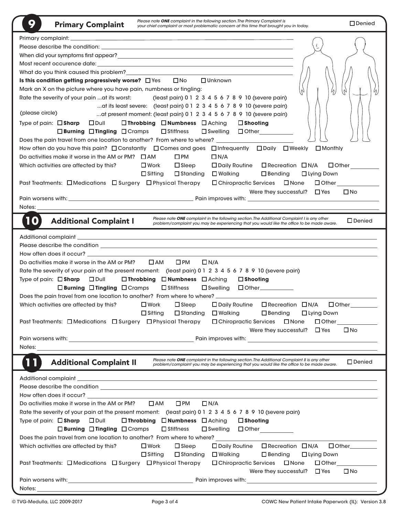| 9<br><b>Primary Complaint</b>                                                                                                                                                                                                  | Please note ONE complaint in the following section. The Primary Complaint is<br>your chief complaint or most problematic concern at this time that brought you in today.                   | $\square$ Denied |
|--------------------------------------------------------------------------------------------------------------------------------------------------------------------------------------------------------------------------------|--------------------------------------------------------------------------------------------------------------------------------------------------------------------------------------------|------------------|
|                                                                                                                                                                                                                                |                                                                                                                                                                                            |                  |
|                                                                                                                                                                                                                                |                                                                                                                                                                                            |                  |
| When did your symptoms first appear? The contract of the contract of the contract of the contract of the contract of the contract of the contract of the contract of the contract of the contract of the contract of the contr |                                                                                                                                                                                            |                  |
|                                                                                                                                                                                                                                |                                                                                                                                                                                            |                  |
|                                                                                                                                                                                                                                |                                                                                                                                                                                            |                  |
| Is this condition getting progressively worse? $\Box$ Yes $\Box$ No                                                                                                                                                            | $\Box$ Unknown                                                                                                                                                                             |                  |
| Mark an X on the picture where you have pain, numbness or tingling:                                                                                                                                                            | ς,<br>h.<br>l h                                                                                                                                                                            | И,               |
| Rate the severity of your pain  at its worst:                                                                                                                                                                                  | (least pain) 0 1 2 3 4 5 6 7 8 9 10 (severe pain)                                                                                                                                          |                  |
| at its least severe: (least pain) 0 1 2 3 4 5 6 7 8 9 10 (severe pain)                                                                                                                                                         |                                                                                                                                                                                            |                  |
| (please circle)<br>at present moment: (least pain) 0 1 2 3 4 5 6 7 8 9 10 (severe pain)                                                                                                                                        |                                                                                                                                                                                            |                  |
| Type of pain: $\Box$ Sharp $\Box$ Dull<br>□ Throbbing □ Numbness □ Aching                                                                                                                                                      | $\square$ Shooting                                                                                                                                                                         |                  |
| $\Box$ Burning $\Box$ Tingling $\Box$ Cramps<br>$\square$ Stiffness                                                                                                                                                            | □Swelling □ Other__________                                                                                                                                                                |                  |
| Does the pain travel from one location to another? From where to where? _____________                                                                                                                                          |                                                                                                                                                                                            |                  |
| How often do you have this pain? □ Constantly □ Comes and goes □ Infrequently □ Daily □ Weekly □ Monthly                                                                                                                       |                                                                                                                                                                                            |                  |
| $\square$ PM<br>Do activities make it worse in the AM or PM? $\Box$ AM                                                                                                                                                         | $\Box N/A$                                                                                                                                                                                 |                  |
| Which activities are affected by this?<br>$\square$ Work<br>$\Box$ Sleep                                                                                                                                                       | □ Daily Routine □ Recreation □ N/A                                                                                                                                                         | $\Box$ Other     |
| $\square$ Sitting<br>$\square$ Standing                                                                                                                                                                                        | $\square$ Walking<br>$\square$ Bending<br>□ Lying Down                                                                                                                                     |                  |
| Past Treatments: □ Medications □ Surgery □ Physical Therapy                                                                                                                                                                    | □ Chiropractic Services □ None<br>$\Box$ Other $\Box$                                                                                                                                      |                  |
|                                                                                                                                                                                                                                | Were they successful? $\Box$ Yes                                                                                                                                                           | $\square$ No     |
|                                                                                                                                                                                                                                |                                                                                                                                                                                            |                  |
| Notes:                                                                                                                                                                                                                         |                                                                                                                                                                                            |                  |
| 10<br><b>Additional Complaint I</b>                                                                                                                                                                                            | Please note ONE complaint in the following section. The Additional Complaint I is any other<br>problem/complaint you may be experiencing that you would like the office to be made aware.  | $\square$ Denied |
|                                                                                                                                                                                                                                |                                                                                                                                                                                            |                  |
| Please describe the condition with the condition of the condition of the condition of the condition of the condition of the condition of the condition of the condition of the condition of the condition of the condition of  |                                                                                                                                                                                            |                  |
|                                                                                                                                                                                                                                |                                                                                                                                                                                            |                  |
| Do activities make it worse in the AM or PM?<br>$\square$ AM<br>$\square$ PM                                                                                                                                                   | $\Box N/A$                                                                                                                                                                                 |                  |
| Rate the severity of your pain at the present moment: (least pain) 0 1 2 3 4 5 6 7 8 9 10 (severe pain)                                                                                                                        |                                                                                                                                                                                            |                  |
| Type of pain: $\Box$ Sharp $\Box$ Dull<br>□ Throbbing □ Numbness □ Aching                                                                                                                                                      | $\square$ Shooting                                                                                                                                                                         |                  |
| $\Box$ Burning $\Box$ Tingling $\Box$ Cramps<br>$\square$ Stiffness                                                                                                                                                            | $\square$ Swelling<br>$\Box$ Other ___________                                                                                                                                             |                  |
| Does the pain travel from one location to another? From where to where? ____________                                                                                                                                           |                                                                                                                                                                                            |                  |
| Which activities are affected by this?<br>$\square$ Work<br>$\square$ Sleep                                                                                                                                                    | $\Box$ Daily Routine $\Box$ Recreation $\Box$ N/A                                                                                                                                          | $\Box$ Other     |
| $\Box$ Sitting<br>$\Box$ Standing                                                                                                                                                                                              | $\square$ Walking<br>$\square$ Bending<br>$\Box$ Lying Down                                                                                                                                |                  |
| Past Treatments: □ Medications □ Surgery □ Physical Therapy                                                                                                                                                                    | $\Box$ Other<br>□ Chiropractic Services □ None                                                                                                                                             |                  |
|                                                                                                                                                                                                                                | Were they successful? $\Box$ Yes                                                                                                                                                           | $\square$ No     |
|                                                                                                                                                                                                                                |                                                                                                                                                                                            |                  |
| Notes:<br><u> 1980 - Andrea Station, amerikansk politik (d. 1980)</u>                                                                                                                                                          |                                                                                                                                                                                            |                  |
| <b>Additional Complaint II</b>                                                                                                                                                                                                 | Please note ONE complaint in the following section. The Additional Complaint II is any other<br>problem/complaint you may be experiencing that you would like the office to be made aware. | $\Box$ Denied    |
|                                                                                                                                                                                                                                |                                                                                                                                                                                            |                  |
|                                                                                                                                                                                                                                |                                                                                                                                                                                            |                  |
| Please describe the condition <b>contract to the condition contract to the condition contract to the condition</b>                                                                                                             |                                                                                                                                                                                            |                  |
| How often does it occur? Department of the contract of the contract of the contract of the contract of the contract of the contract of the contract of the contract of the contract of the contract of the contract of the con |                                                                                                                                                                                            |                  |
| Do activities make it worse in the AM or PM?<br>$\square$ AM<br>$\square$ PM                                                                                                                                                   | $\Box N/A$                                                                                                                                                                                 |                  |
| Rate the severity of your pain at the present moment: (least pain) 0 1 2 3 4 5 6 7 8 9 10 (severe pain)                                                                                                                        |                                                                                                                                                                                            |                  |
| □ Throbbing □ Numbness □ Aching<br>Type of pain: $\Box$ Sharp<br>$\square$ Dull<br>$\Box$ Burning $\Box$ Tingling $\Box$ Cramps<br>$\square$ Stiffness                                                                         | $\square$ Shooting<br>$\square$ Swelling                                                                                                                                                   |                  |
| Does the pain travel from one location to another? From where to where?                                                                                                                                                        |                                                                                                                                                                                            |                  |
| $\Box$ Sleep<br>Which activities are affected by this?<br>$\square$ Work                                                                                                                                                       | □ Recreation □ N/A<br>$\Box$ Daily Routine                                                                                                                                                 | $\Box$ Other     |
| $\Box$ Sitting<br>$\square$ Standing                                                                                                                                                                                           | $\square$ Walking<br>$\square$ Bending<br>$\Box$ Lying Down                                                                                                                                |                  |
| Past Treatments: □ Medications □ Surgery □ Physical Therapy                                                                                                                                                                    | $\Box$ Chiropractic Services $\Box$ None<br>$\Box$ Other $\Box$                                                                                                                            |                  |
|                                                                                                                                                                                                                                | Were they successful? $\Box$ Yes                                                                                                                                                           | $\square$ No     |
| Pain worsens with: North and South American Section 1997 and South American Section 1997<br>Notes:                                                                                                                             |                                                                                                                                                                                            |                  |
|                                                                                                                                                                                                                                |                                                                                                                                                                                            |                  |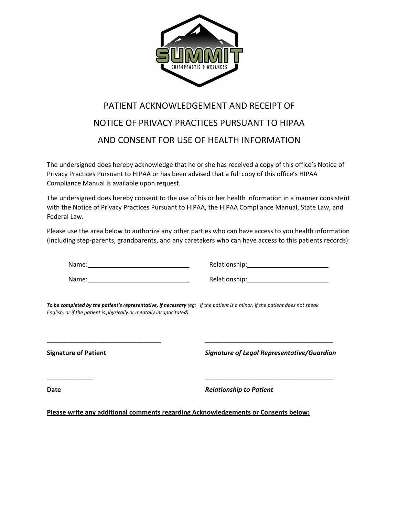

## PATIENT ACKNOWLEDGEMENT AND RECEIPT OF NOTICE OF PRIVACY PRACTICES PURSUANT TO HIPAA AND CONSENT FOR USE OF HEALTH INFORMATION

The undersigned does hereby acknowledge that he or she has received a copy of this office's Notice of Privacy Practices Pursuant to HIPAA or has been advised that a full copy of this office's HIPAA Compliance Manual is available upon request.

The undersigned does hereby consent to the use of his or her health information in a manner consistent with the Notice of Privacy Practices Pursuant to HIPAA, the HIPAA Compliance Manual, State Law, and Federal Law.

Please use the area below to authorize any other parties who can have access to you health information (including step-parents, grandparents, and any caretakers who can have access to this patients records):

Name: We have a state of the state of the state of the state of the state of the state of the state of the state of the state of the state of the state of the state of the state of the state of the state of the state of th

Name: We have a state of the state of the state of the state of the state of the state of the state of the state of the state of the state of the state of the state of the state of the state of the state of the state of th

Relationship: 1999

To be completed by the patient's representative, if necessary (eg: if the patient is a minor, if the patient does not speak English, or if the patient is physically or mentally incapacitated)

**Signature of Patient** 

Signature of Legal Representative/Guardian

**Date** 

**Relationship to Patient** 

Please write any additional comments regarding Acknowledgements or Consents below: